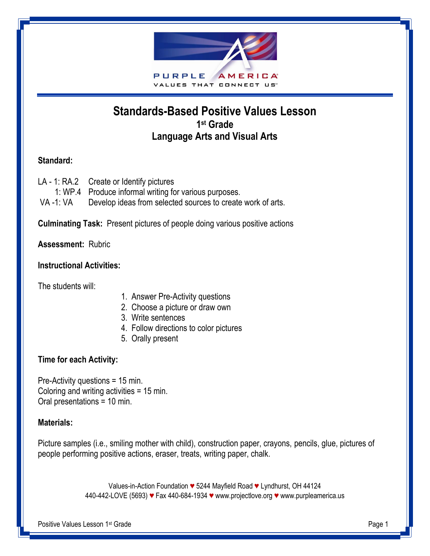

# **Standards-Based Positive Values Lesson 1 st Grade Language Arts and Visual Arts**

# **Standard:**

LA - 1: RA.2 Create or Identify pictures 1: WP.4 Produce informal writing for various purposes. VA-1: VA Develop ideas from selected sources to create work of arts.

**Culminating Task:** Present pictures of people doing various positive actions

**Assessment:** Rubric

# **Instructional Activities:**

The students will:

- 1. Answer Pre-Activity questions
- 2. Choose a picture or draw own
- 3. Write sentences
- 4. Follow directions to color pictures
- 5. Orally present

# **Time for each Activity:**

Pre-Activity questions = 15 min. Coloring and writing activities = 15 min. Oral presentations = 10 min.

#### **Materials:**

Picture samples (i.e., smiling mother with child), construction paper, crayons, pencils, glue, pictures of people performing positive actions, eraser, treats, writing paper, chalk.

> Values-in-Action Foundation *♥* 5244 Mayfield Road *♥* Lyndhurst, OH 44124 440-442-LOVE (5693) *♥* Fax 440-684-1934 *♥* [www.projectlove.org](http://www.projectlove.org/) *♥* www.purpleamerica.us

Positive Values Lesson 1st Grade **Page 1** Page 1